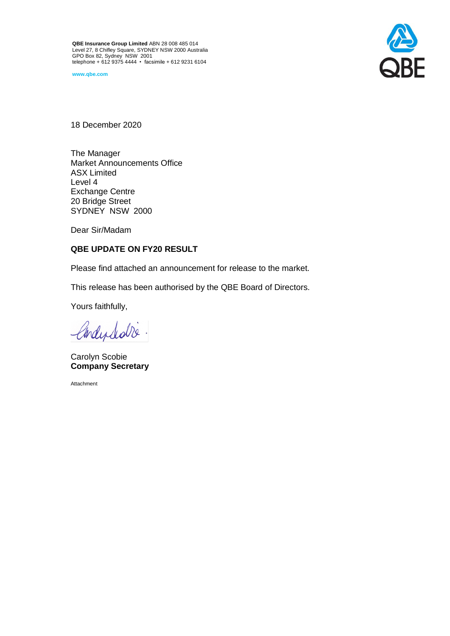**QBE Insurance Group Limited** ABN 28 008 485 014 Level 27, 8 Chifley Square, SYDNEY NSW 2000 Australia GPO Box 82, Sydney NSW 2001 telephone + 612 9375 4444 • facsimile + 612 9231 6104

**www.qbe.com**



18 December 2020

The Manager Market Announcements Office ASX Limited Level 4 Exchange Centre 20 Bridge Street SYDNEY NSW 2000

Dear Sir/Madam

# **QBE UPDATE ON FY20 RESULT**

Please find attached an announcement for release to the market.

This release has been authorised by the QBE Board of Directors.

Yours faithfully,

Condephable.

Carolyn Scobie **Company Secretary**

Attachment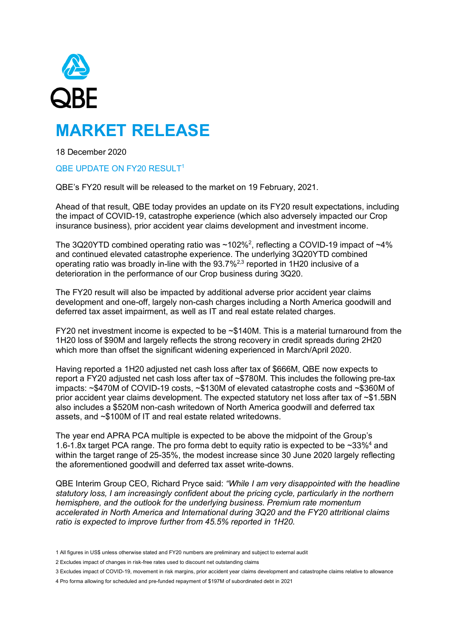

# **MARKET RELEASE**

18 December 2020

# QBE UPDATE ON FY20 RESULT<sup>1</sup>

QBE's FY20 result will be released to the market on 19 February, 2021.

Ahead of that result, QBE today provides an update on its FY20 result expectations, including the impact of COVID-19, catastrophe experience (which also adversely impacted our Crop insurance business), prior accident year claims development and investment income.

The 3Q20YTD combined operating ratio was ~102%<sup>2</sup>, reflecting a COVID-19 impact of ~4% and continued elevated catastrophe experience. The underlying 3Q20YTD combined operating ratio was broadly in-line with the 93.7%2,3 reported in 1H20 inclusive of a deterioration in the performance of our Crop business during 3Q20.

The FY20 result will also be impacted by additional adverse prior accident year claims development and one-off, largely non-cash charges including a North America goodwill and deferred tax asset impairment, as well as IT and real estate related charges.

FY20 net investment income is expected to be ~\$140M. This is a material turnaround from the 1H20 loss of \$90M and largely reflects the strong recovery in credit spreads during 2H20 which more than offset the significant widening experienced in March/April 2020.

Having reported a 1H20 adjusted net cash loss after tax of \$666M, QBE now expects to report a FY20 adjusted net cash loss after tax of ~\$780M. This includes the following pre-tax impacts: ~\$470M of COVID-19 costs, ~\$130M of elevated catastrophe costs and ~\$360M of prior accident year claims development. The expected statutory net loss after tax of ~\$1.5BN also includes a \$520M non-cash writedown of North America goodwill and deferred tax assets, and ~\$100M of IT and real estate related writedowns.

The year end APRA PCA multiple is expected to be above the midpoint of the Group's 1.6-1.8x target PCA range. The pro forma debt to equity ratio is expected to be  $\sim$ 33%<sup>4</sup> and within the target range of 25-35%, the modest increase since 30 June 2020 largely reflecting the aforementioned goodwill and deferred tax asset write-downs.

QBE Interim Group CEO, Richard Pryce said: *"While I am very disappointed with the headline statutory loss, I am increasingly confident about the pricing cycle, particularly in the northern hemisphere, and the outlook for the underlying business. Premium rate momentum accelerated in North America and International during 3Q20 and the FY20 attritional claims ratio is expected to improve further from 45.5% reported in 1H20.* 

- 3 Excludes impact of COVID-19, movement in risk margins, prior accident year claims development and catastrophe claims relative to allowance
- 4 Pro forma allowing for scheduled and pre-funded repayment of \$197M of subordinated debt in 2021

<sup>1</sup> All figures in US\$ unless otherwise stated and FY20 numbers are preliminary and subject to external audit

<sup>2</sup> Excludes impact of changes in risk-free rates used to discount net outstanding claims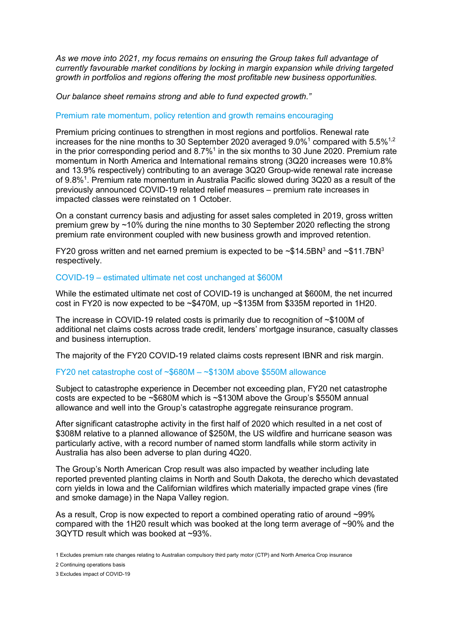*As we move into 2021, my focus remains on ensuring the Group takes full advantage of currently favourable market conditions by locking in margin expansion while driving targeted growth in portfolios and regions offering the most profitable new business opportunities.*

*Our balance sheet remains strong and able to fund expected growth."* 

# Premium rate momentum, policy retention and growth remains encouraging

Premium pricing continues to strengthen in most regions and portfolios. Renewal rate increases for the nine months to 30 September 2020 averaged  $9.0\%$ <sup>1</sup> compared with  $5.5\%$ <sup>1,2</sup> in the prior corresponding period and  $8.7\%$ <sup>1</sup> in the six months to 30 June 2020. Premium rate momentum in North America and International remains strong (3Q20 increases were 10.8% and 13.9% respectively) contributing to an average 3Q20 Group-wide renewal rate increase of 9.8%<sup>1</sup>. Premium rate momentum in Australia Pacific slowed during 3Q20 as a result of the previously announced COVID-19 related relief measures – premium rate increases in impacted classes were reinstated on 1 October.

On a constant currency basis and adjusting for asset sales completed in 2019, gross written premium grew by ~10% during the nine months to 30 September 2020 reflecting the strong premium rate environment coupled with new business growth and improved retention.

FY20 gross written and net earned premium is expected to be  $\sim $14.5BN^3$  and  $\sim $11.7BN^3$ respectively.

### COVID-19 – estimated ultimate net cost unchanged at \$600M

While the estimated ultimate net cost of COVID-19 is unchanged at \$600M, the net incurred cost in FY20 is now expected to be ~\$470M, up ~\$135M from \$335M reported in 1H20.

The increase in COVID-19 related costs is primarily due to recognition of ~\$100M of additional net claims costs across trade credit, lenders' mortgage insurance, casualty classes and business interruption.

The majority of the FY20 COVID-19 related claims costs represent IBNR and risk margin.

# FY20 net catastrophe cost of ~\$680M – ~\$130M above \$550M allowance

Subject to catastrophe experience in December not exceeding plan, FY20 net catastrophe costs are expected to be ~\$680M which is ~\$130M above the Group's \$550M annual allowance and well into the Group's catastrophe aggregate reinsurance program.

After significant catastrophe activity in the first half of 2020 which resulted in a net cost of \$308M relative to a planned allowance of \$250M, the US wildfire and hurricane season was particularly active, with a record number of named storm landfalls while storm activity in Australia has also been adverse to plan during 4Q20.

The Group's North American Crop result was also impacted by weather including late reported prevented planting claims in North and South Dakota, the derecho which devastated corn yields in Iowa and the Californian wildfires which materially impacted grape vines (fire and smoke damage) in the Napa Valley region.

As a result, Crop is now expected to report a combined operating ratio of around ~99% compared with the 1H20 result which was booked at the long term average of ~90% and the 3QYTD result which was booked at ~93%.

<sup>1</sup> Excludes premium rate changes relating to Australian compulsory third party motor (CTP) and North America Crop insurance

<sup>2</sup> Continuing operations basis

<sup>3</sup> Excludes impact of COVID-19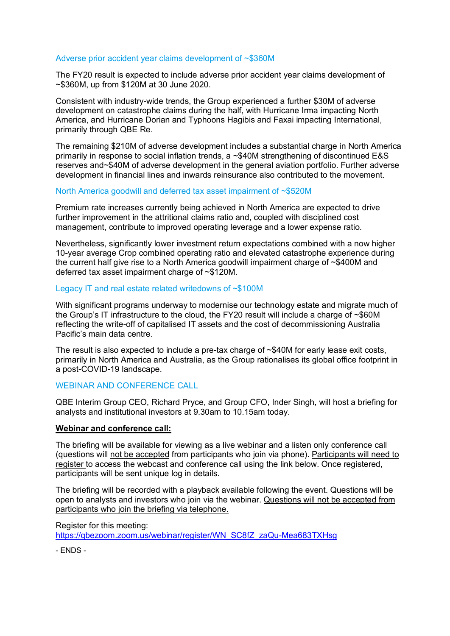### Adverse prior accident year claims development of ~\$360M

The FY20 result is expected to include adverse prior accident year claims development of ~\$360M, up from \$120M at 30 June 2020.

Consistent with industry-wide trends, the Group experienced a further \$30M of adverse development on catastrophe claims during the half, with Hurricane Irma impacting North America, and Hurricane Dorian and Typhoons Hagibis and Faxai impacting International, primarily through QBE Re.

The remaining \$210M of adverse development includes a substantial charge in North America primarily in response to social inflation trends, a ~\$40M strengthening of discontinued E&S reserves and~\$40M of adverse development in the general aviation portfolio. Further adverse development in financial lines and inwards reinsurance also contributed to the movement.

### North America goodwill and deferred tax asset impairment of ~\$520M

Premium rate increases currently being achieved in North America are expected to drive further improvement in the attritional claims ratio and, coupled with disciplined cost management, contribute to improved operating leverage and a lower expense ratio.

Nevertheless, significantly lower investment return expectations combined with a now higher 10-year average Crop combined operating ratio and elevated catastrophe experience during the current half give rise to a North America goodwill impairment charge of ~\$400M and deferred tax asset impairment charge of ~\$120M.

### Legacy IT and real estate related writedowns of ~\$100M

With significant programs underway to modernise our technology estate and migrate much of the Group's IT infrastructure to the cloud, the FY20 result will include a charge of ~\$60M reflecting the write-off of capitalised IT assets and the cost of decommissioning Australia Pacific's main data centre.

The result is also expected to include a pre-tax charge of ~\$40M for early lease exit costs, primarily in North America and Australia, as the Group rationalises its global office footprint in a post-COVID-19 landscape.

#### WEBINAR AND CONFERENCE CALL

QBE Interim Group CEO, Richard Pryce, and Group CFO, Inder Singh, will host a briefing for analysts and institutional investors at 9.30am to 10.15am today.

#### **Webinar and conference call:**

The briefing will be available for viewing as a live webinar and a listen only conference call (questions will not be accepted from participants who join via phone). Participants will need to register to access the webcast and conference call using the link below. Once registered, participants will be sent unique log in details.

The briefing will be recorded with a playback available following the event. Questions will be open to analysts and investors who join via the webinar. Questions will not be accepted from participants who join the briefing via telephone.

Register for this meeting:

[https://qbezoom.zoom.us/webinar/register/WN\\_SC8fZ\\_zaQu-Mea683TXHsg](https://qbezoom.zoom.us/webinar/register/WN_SC8fZ_zaQu-Mea683TXHsg)

- ENDS -